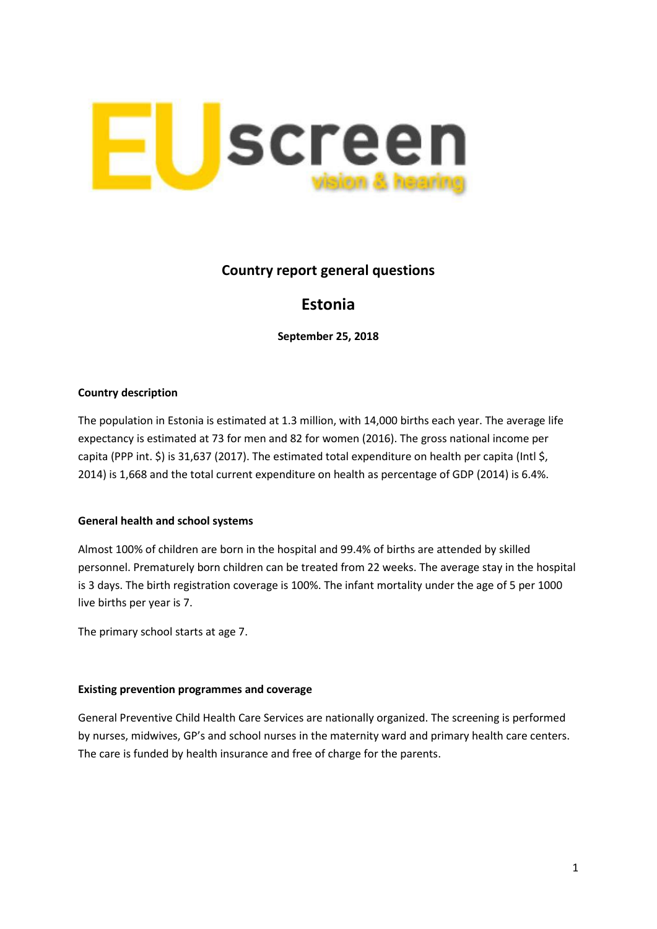

# **Country report general questions**

# **Estonia**

**September 25, 2018**

## **Country description**

The population in Estonia is estimated at 1.3 million, with 14,000 births each year. The average life expectancy is estimated at 73 for men and 82 for women (2016). The gross national income per capita (PPP int. \$) is 31,637 (2017). The estimated total expenditure on health per capita (Intl \$, 2014) is 1,668 and the total current expenditure on health as percentage of GDP (2014) is 6.4%.

## **General health and school systems**

Almost 100% of children are born in the hospital and 99.4% of births are attended by skilled personnel. Prematurely born children can be treated from 22 weeks. The average stay in the hospital is 3 days. The birth registration coverage is 100%. The infant mortality under the age of 5 per 1000 live births per year is 7.

The primary school starts at age 7.

## **Existing prevention programmes and coverage**

General Preventive Child Health Care Services are nationally organized. The screening is performed by nurses, midwives, GP's and school nurses in the maternity ward and primary health care centers. The care is funded by health insurance and free of charge for the parents.